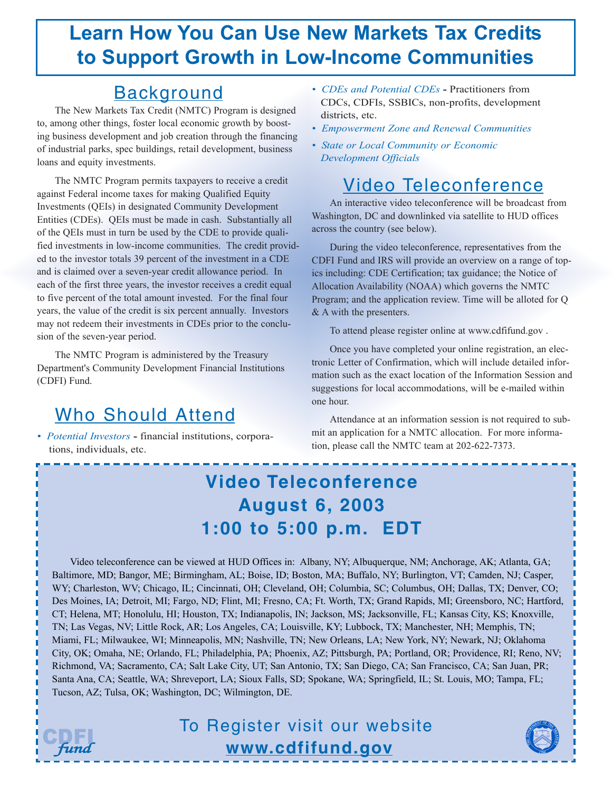# **Learn How You Can Use New Markets Tax Credits to Support Growth in Low-Income Communities**

#### Background

The New Markets Tax Credit (NMTC) Program is designed to, among other things, foster local economic growth by boosting business development and job creation through the financing of industrial parks, spec buildings, retail development, business loans and equity investments.

The NMTC Program permits taxpayers to receive a credit against Federal income taxes for making Qualified Equity Investments (QEIs) in designated Community Development Entities (CDEs). QEIs must be made in cash. Substantially all of the QEIs must in turn be used by the CDE to provide qualified investments in low-income communities. The credit provided to the investor totals 39 percent of the investment in a CDE and is claimed over a seven-year credit allowance period. In each of the first three years, the investor receives a credit equal to five percent of the total amount invested. For the final four years, the value of the credit is six percent annually. Investors may not redeem their investments in CDEs prior to the conclusion of the seven-year period.

The NMTC Program is administered by the Treasury Department's Community Development Financial Institutions (CDFI) Fund.

## Who Should Attend

*• Potential Investors* **-** financial institutions, corporations, individuals, etc.

- *CDEs and Potential CDEs* Practitioners from CDCs, CDFIs, SSBICs, non-profits, development districts, etc.
- *Empowerment Zone and Renewal Communities*
- *State or Local Community or Economic Development Officials*

### Video Teleconference

An interactive video teleconference will be broadcast from Washington, DC and downlinked via satellite to HUD offices across the country (see below).

During the video teleconference, representatives from the CDFI Fund and IRS will provide an overview on a range of topics including: CDE Certification; tax guidance; the Notice of Allocation Availability (NOAA) which governs the NMTC Program; and the application review. Time will be alloted for Q & A with the presenters.

To attend please register online at www.cdfifund.gov .

Once you have completed your online registration, an electronic Letter of Confirmation, which will include detailed information such as the exact location of the Information Session and suggestions for local accommodations, will be e-mailed within one hour.

Attendance at an information session is not required to submit an application for a NMTC allocation. For more information, please call the NMTC team at 202-622-7373.

## **Video Teleconference August 6, 2003 1:00 to 5:00 p.m. EDT**

Video teleconference can be viewed at HUD Offices in: Albany, NY; Albuquerque, NM; Anchorage, AK; Atlanta, GA; Baltimore, MD; Bangor, ME; Birmingham, AL; Boise, ID; Boston, MA; Buffalo, NY; Burlington, VT; Camden, NJ; Casper, WY; Charleston, WV; Chicago, IL; Cincinnati, OH; Cleveland, OH; Columbia, SC; Columbus, OH; Dallas, TX; Denver, CO; Des Moines, IA; Detroit, MI; Fargo, ND; Flint, MI; Fresno, CA; Ft. Worth, TX; Grand Rapids, MI; Greensboro, NC; Hartford, CT; Helena, MT; Honolulu, HI; Houston, TX; Indianapolis, IN; Jackson, MS; Jacksonville, FL; Kansas City, KS; Knoxville, TN; Las Vegas, NV; Little Rock, AR; Los Angeles, CA; Louisville, KY; Lubbock, TX; Manchester, NH; Memphis, TN; Miami, FL; Milwaukee, WI; Minneapolis, MN; Nashville, TN; New Orleans, LA; New York, NY; Newark, NJ; Oklahoma City, OK; Omaha, NE; Orlando, FL; Philadelphia, PA; Phoenix, AZ; Pittsburgh, PA; Portland, OR; Providence, RI; Reno, NV; Richmond, VA; Sacramento, CA; Salt Lake City, UT; San Antonio, TX; San Diego, CA; San Francisco, CA; San Juan, PR; Santa Ana, CA; Seattle, WA; Shreveport, LA; Sioux Falls, SD; Spokane, WA; Springfield, IL; St. Louis, MO; Tampa, FL; Tucson, AZ; Tulsa, OK; Washington, DC; Wilmington, DE.

To Register visit our website

**www.cdfifund.gov**